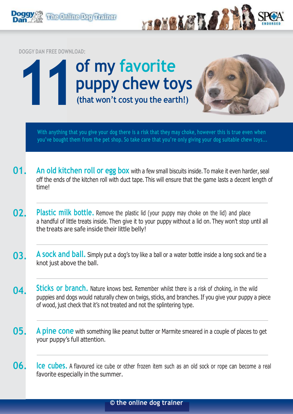

With anything that you give your dog there is a risk that they may choke, however this is true even when you've bought them from the pet shop. So take care that you're only giving your dog suitable chew toys...

- **01. An old kitchen roll or egg box** with a few small biscuits inside.To make it even harder, seal off the ends of the kitchen roll with duct tape. This will ensure that the game lasts a decent length of time!
- **02. Plastic milk bottle.** Remove the plastic lid (your puppy may choke on the lid) and place a handful of little treats inside. Then give it to your puppy without a lid on. They won't stop until all the treats are safe inside their little belly!
- **03. A sock and ball.** Simply put a dog's toy like a ball or a water bottle inside a long sock and tie a knot just above the ball.
- **04. Sticks or branch.** Nature knows best. Remember whilst there is a risk of choking, in the wild puppies and dogs would naturally chew on twigs, sticks, and branches. If you give your puppy a piece of wood, just check that it's not treated and not the splintering type.
- **05. A pine cone** with something like peanut butter or Marmite smeared in <sup>a</sup> couple of places to get your puppy's full attention.
- **06. Ice cubes.** <sup>A</sup> flavoured ice cube or other frozen item such as an old sock or rope can become <sup>a</sup> real favorite especially in the summer.

## **© the online dog trainer**